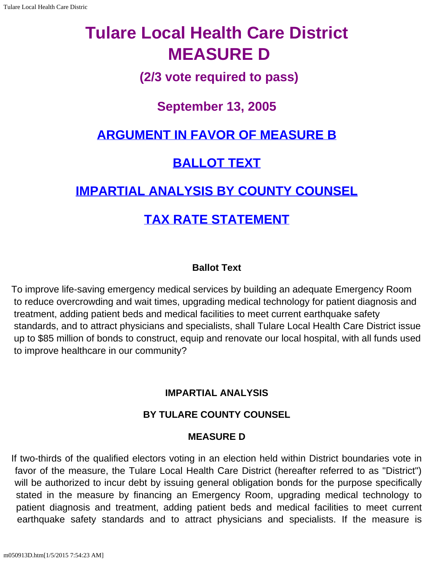# **Tulare Local Health Care District MEASURE D**

### **(2/3 vote required to pass)**

### **September 13, 2005**

## **[ARGUMENT IN FAVOR OF MEASURE B](#page-2-0)**

### **[BALLOT TEXT](#page-0-0)**

## **[IMPARTIAL ANALYSIS BY COUNTY COUNSEL](#page-0-1)**

### **[TAX RATE STATEMENT](#page-1-0)**

#### **Ballot Text**

<span id="page-0-0"></span>To improve life-saving emergency medical services by building an adequate Emergency Room to reduce overcrowding and wait times, upgrading medical technology for patient diagnosis and treatment, adding patient beds and medical facilities to meet current earthquake safety standards, and to attract physicians and specialists, shall Tulare Local Health Care District issue up to \$85 million of bonds to construct, equip and renovate our local hospital, with all funds used to improve healthcare in our community?

#### **IMPARTIAL ANALYSIS**

#### **BY TULARE COUNTY COUNSEL**

#### **MEASURE D**

<span id="page-0-1"></span>If two-thirds of the qualified electors voting in an election held within District boundaries vote in favor of the measure, the Tulare Local Health Care District (hereafter referred to as "District") will be authorized to incur debt by issuing general obligation bonds for the purpose specifically stated in the measure by financing an Emergency Room, upgrading medical technology to patient diagnosis and treatment, adding patient beds and medical facilities to meet current earthquake safety standards and to attract physicians and specialists. If the measure is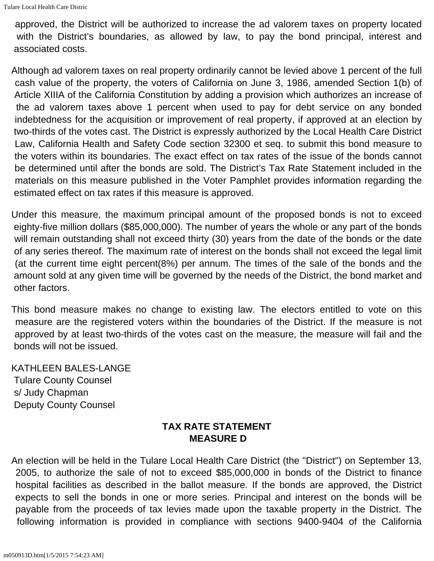approved, the District will be authorized to increase the ad valorem taxes on property located with the District's boundaries, as allowed by law, to pay the bond principal, interest and associated costs.

Although ad valorem taxes on real property ordinarily cannot be levied above 1 percent of the full cash value of the property, the voters of California on June 3, 1986, amended Section 1(b) of Article XIIIA of the California Constitution by adding a provision which authorizes an increase of the ad valorem taxes above 1 percent when used to pay for debt service on any bonded indebtedness for the acquisition or improvement of real property, if approved at an election by two-thirds of the votes cast. The District is expressly authorized by the Local Health Care District Law, California Health and Safety Code section 32300 et seq. to submit this bond measure to the voters within its boundaries. The exact effect on tax rates of the issue of the bonds cannot be determined until after the bonds are sold. The District's Tax Rate Statement included in the materials on this measure published in the Voter Pamphlet provides information regarding the estimated effect on tax rates if this measure is approved.

Under this measure, the maximum principal amount of the proposed bonds is not to exceed eighty-five million dollars (\$85,000,000). The number of years the whole or any part of the bonds will remain outstanding shall not exceed thirty (30) years from the date of the bonds or the date of any series thereof. The maximum rate of interest on the bonds shall not exceed the legal limit (at the current time eight percent(8%) per annum. The times of the sale of the bonds and the amount sold at any given time will be governed by the needs of the District, the bond market and other factors.

This bond measure makes no change to existing law. The electors entitled to vote on this measure are the registered voters within the boundaries of the District. If the measure is not approved by at least two-thirds of the votes cast on the measure, the measure will fail and the bonds will not be issued.

KATHLEEN BALES-LANGE Tulare County Counsel s/ Judy Chapman Deputy County Counsel

#### **TAX RATE STATEMENT MEASURE D**

<span id="page-1-0"></span>An election will be held in the Tulare Local Health Care District (the "District") on September 13, 2005, to authorize the sale of not to exceed \$85,000,000 in bonds of the District to finance hospital facilities as described in the ballot measure. If the bonds are approved, the District expects to sell the bonds in one or more series. Principal and interest on the bonds will be payable from the proceeds of tax levies made upon the taxable property in the District. The following information is provided in compliance with sections 9400-9404 of the California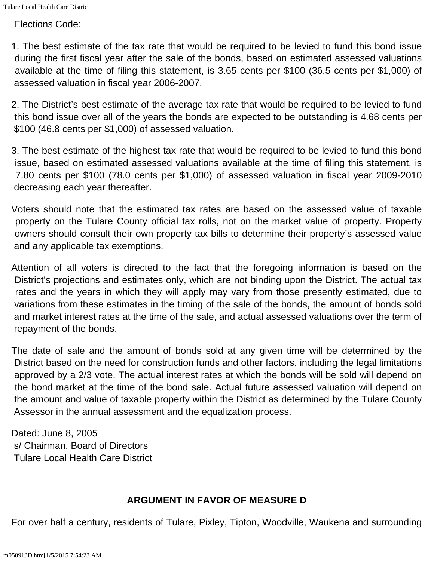Elections Code:

1. The best estimate of the tax rate that would be required to be levied to fund this bond issue during the first fiscal year after the sale of the bonds, based on estimated assessed valuations available at the time of filing this statement, is 3.65 cents per \$100 (36.5 cents per \$1,000) of assessed valuation in fiscal year 2006-2007.

2. The District's best estimate of the average tax rate that would be required to be levied to fund this bond issue over all of the years the bonds are expected to be outstanding is 4.68 cents per \$100 (46.8 cents per \$1,000) of assessed valuation.

3. The best estimate of the highest tax rate that would be required to be levied to fund this bond issue, based on estimated assessed valuations available at the time of filing this statement, is 7.80 cents per \$100 (78.0 cents per \$1,000) of assessed valuation in fiscal year 2009-2010 decreasing each year thereafter.

Voters should note that the estimated tax rates are based on the assessed value of taxable property on the Tulare County official tax rolls, not on the market value of property. Property owners should consult their own property tax bills to determine their property's assessed value and any applicable tax exemptions.

Attention of all voters is directed to the fact that the foregoing information is based on the District's projections and estimates only, which are not binding upon the District. The actual tax rates and the years in which they will apply may vary from those presently estimated, due to variations from these estimates in the timing of the sale of the bonds, the amount of bonds sold and market interest rates at the time of the sale, and actual assessed valuations over the term of repayment of the bonds.

The date of sale and the amount of bonds sold at any given time will be determined by the District based on the need for construction funds and other factors, including the legal limitations approved by a 2/3 vote. The actual interest rates at which the bonds will be sold will depend on the bond market at the time of the bond sale. Actual future assessed valuation will depend on the amount and value of taxable property within the District as determined by the Tulare County Assessor in the annual assessment and the equalization process.

Dated: June 8, 2005 s/ Chairman, Board of Directors Tulare Local Health Care District

#### **ARGUMENT IN FAVOR OF MEASURE D**

<span id="page-2-0"></span>For over half a century, residents of Tulare, Pixley, Tipton, Woodville, Waukena and surrounding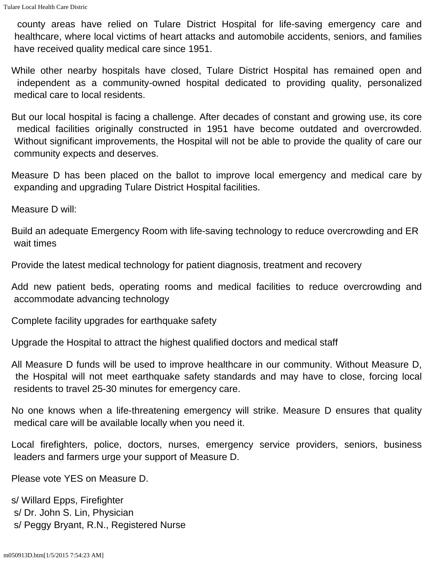county areas have relied on Tulare District Hospital for life-saving emergency care and healthcare, where local victims of heart attacks and automobile accidents, seniors, and families have received quality medical care since 1951.

While other nearby hospitals have closed, Tulare District Hospital has remained open and independent as a community-owned hospital dedicated to providing quality, personalized medical care to local residents.

But our local hospital is facing a challenge. After decades of constant and growing use, its core medical facilities originally constructed in 1951 have become outdated and overcrowded. Without significant improvements, the Hospital will not be able to provide the quality of care our community expects and deserves.

Measure D has been placed on the ballot to improve local emergency and medical care by expanding and upgrading Tulare District Hospital facilities.

Measure D will:

Build an adequate Emergency Room with life-saving technology to reduce overcrowding and ER wait times

Provide the latest medical technology for patient diagnosis, treatment and recovery

Add new patient beds, operating rooms and medical facilities to reduce overcrowding and accommodate advancing technology

Complete facility upgrades for earthquake safety

Upgrade the Hospital to attract the highest qualified doctors and medical staff

All Measure D funds will be used to improve healthcare in our community. Without Measure D, the Hospital will not meet earthquake safety standards and may have to close, forcing local residents to travel 25-30 minutes for emergency care.

No one knows when a life-threatening emergency will strike. Measure D ensures that quality medical care will be available locally when you need it.

Local firefighters, police, doctors, nurses, emergency service providers, seniors, business leaders and farmers urge your support of Measure D.

Please vote YES on Measure D.

s/ Willard Epps, Firefighter s/ Dr. John S. Lin, Physician s/ Peggy Bryant, R.N., Registered Nurse